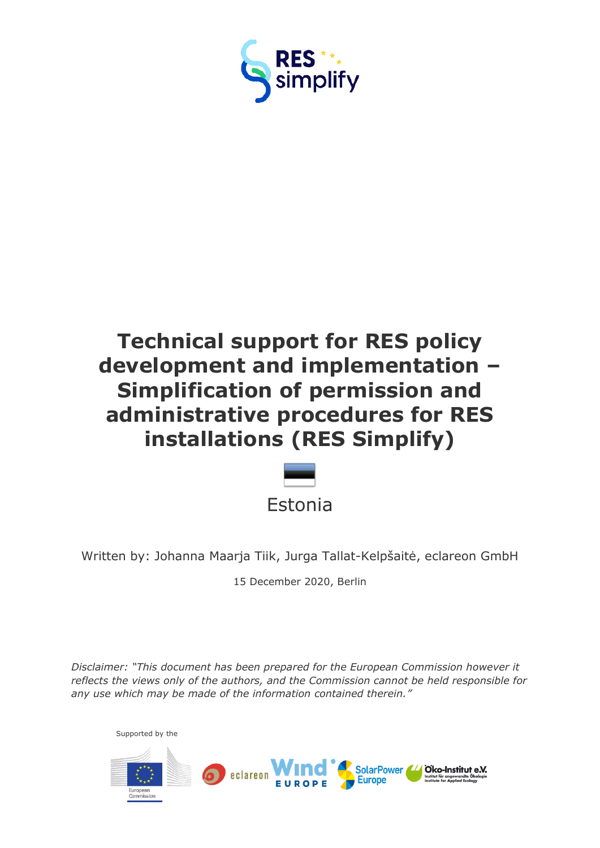

# **Technical support for RES policy development and implementation – Simplification of permission and administrative procedures for RES installations (RES Simplify)**



Written by: Johanna Maarja Tiik, Jurga Tallat-Kelpšaitė, eclareon GmbH

15 December 2020, Berlin

*Disclaimer: "This document has been prepared for the European Commission however it reflects the views only of the authors, and the Commission cannot be held responsible for any use which may be made of the information contained therein."*

Supported by the

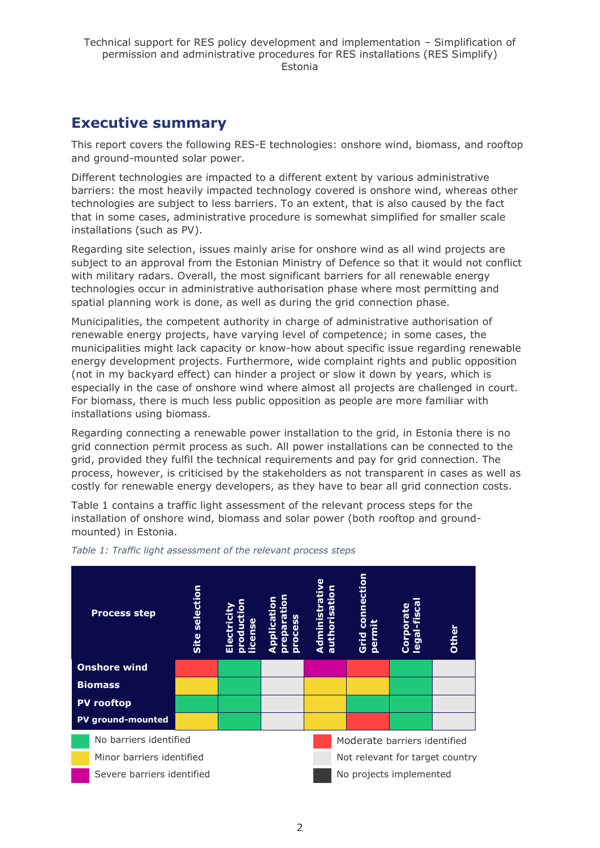## <span id="page-1-0"></span>**Executive summary**

This report covers the following RES-E technologies: onshore wind, biomass, and rooftop and ground-mounted solar power.

Different technologies are impacted to a different extent by various administrative barriers: the most heavily impacted technology covered is onshore wind, whereas other technologies are subject to less barriers. To an extent, that is also caused by the fact that in some cases, administrative procedure is somewhat simplified for smaller scale installations (such as PV).

Regarding site selection, issues mainly arise for onshore wind as all wind projects are subject to an approval from the Estonian Ministry of Defence so that it would not conflict with military radars. Overall, the most significant barriers for all renewable energy technologies occur in administrative authorisation phase where most permitting and spatial planning work is done, as well as during the grid connection phase.

Municipalities, the competent authority in charge of administrative authorisation of renewable energy projects, have varying level of competence; in some cases, the municipalities might lack capacity or know-how about specific issue regarding renewable energy development projects. Furthermore, wide complaint rights and public opposition (not in my backyard effect) can hinder a project or slow it down by years, which is especially in the case of onshore wind where almost all projects are challenged in court. For biomass, there is much less public opposition as people are more familiar with installations using biomass.

Regarding connecting a renewable power installation to the grid, in Estonia there is no grid connection permit process as such. All power installations can be connected to the grid, provided they fulfil the technical requirements and pay for grid connection. The process, however, is criticised by the stakeholders as not transparent in cases as well as costly for renewable energy developers, as they have to bear all grid connection costs.

Table 1 contains a traffic light assessment of the relevant process steps for the installation of onshore wind, biomass and solar power (both rooftop and groundmounted) in Estonia.



*Table 1: Traffic light assessment of the relevant process steps*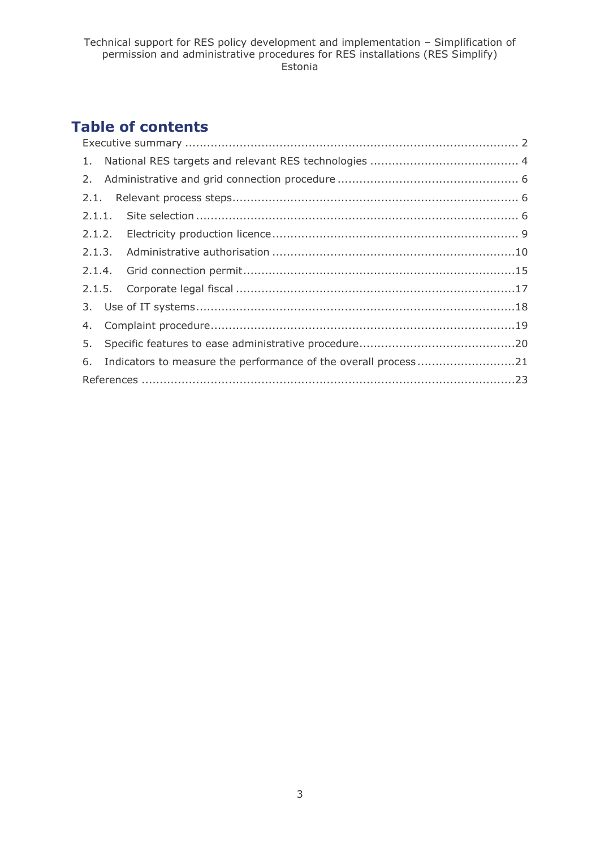## **Table of contents**

|  | 6. Indicators to measure the performance of the overall process21 |  |  |  |  |
|--|-------------------------------------------------------------------|--|--|--|--|
|  |                                                                   |  |  |  |  |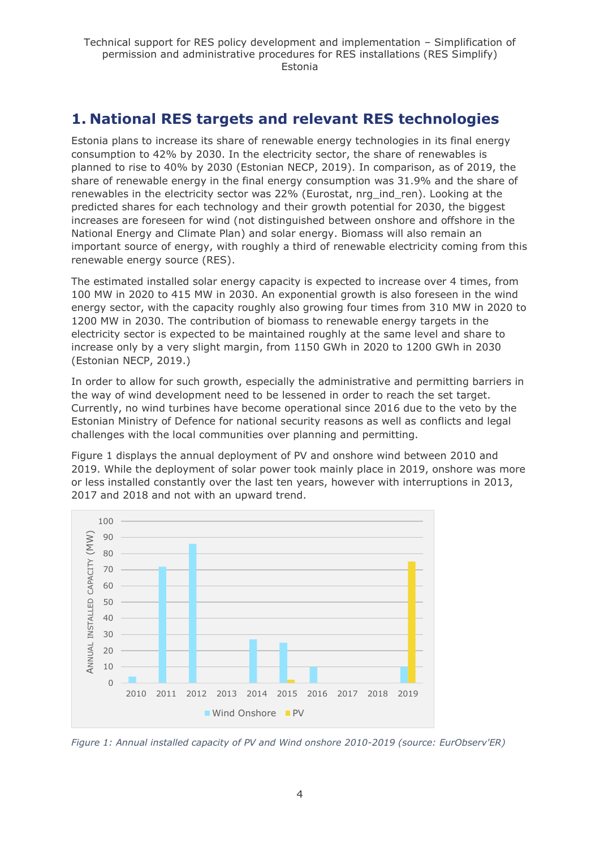## <span id="page-3-0"></span>**1. National RES targets and relevant RES technologies**

Estonia plans to increase its share of renewable energy technologies in its final energy consumption to 42% by 2030. In the electricity sector, the share of renewables is planned to rise to 40% by 2030 (Estonian NECP, 2019). In comparison, as of 2019, the share of renewable energy in the final energy consumption was 31.9% and the share of renewables in the electricity sector was 22% (Eurostat, nrg\_ind\_ren). Looking at the predicted shares for each technology and their growth potential for 2030, the biggest increases are foreseen for wind (not distinguished between onshore and offshore in the National Energy and Climate Plan) and solar energy. Biomass will also remain an important source of energy, with roughly a third of renewable electricity coming from this renewable energy source (RES).

The estimated installed solar energy capacity is expected to increase over 4 times, from 100 MW in 2020 to 415 MW in 2030. An exponential growth is also foreseen in the wind energy sector, with the capacity roughly also growing four times from 310 MW in 2020 to 1200 MW in 2030. The contribution of biomass to renewable energy targets in the electricity sector is expected to be maintained roughly at the same level and share to increase only by a very slight margin, from 1150 GWh in 2020 to 1200 GWh in 2030 (Estonian NECP, 2019.)

In order to allow for such growth, especially the administrative and permitting barriers in the way of wind development need to be lessened in order to reach the set target. Currently, no wind turbines have become operational since 2016 due to the veto by the Estonian Ministry of Defence for national security reasons as well as conflicts and legal challenges with the local communities over planning and permitting.

Figure 1 displays the annual deployment of PV and onshore wind between 2010 and 2019. While the deployment of solar power took mainly place in 2019, onshore was more or less installed constantly over the last ten years, however with interruptions in 2013, 2017 and 2018 and not with an upward trend.



*Figure 1: Annual installed capacity of PV and Wind onshore 2010-2019 (source: EurObserv'ER)*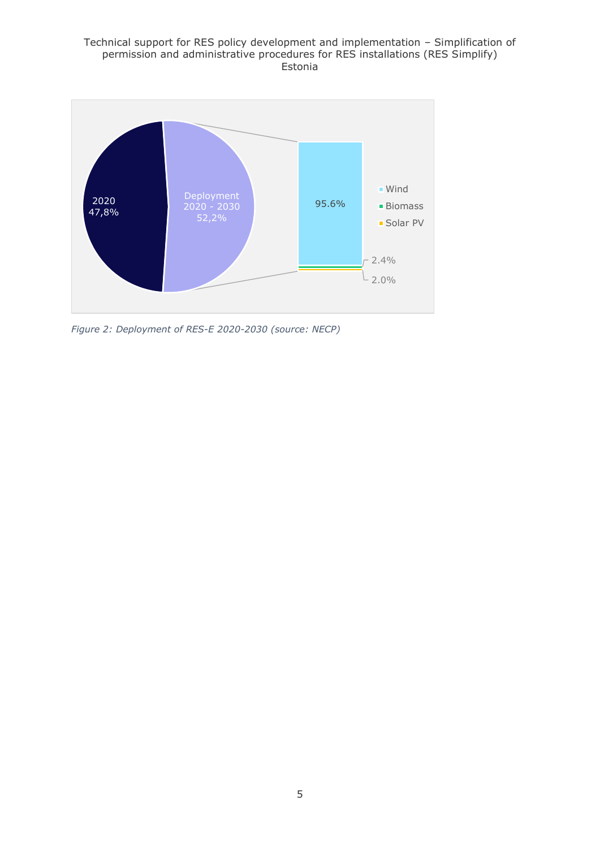#### Technical support for RES policy development and implementation – Simplification of permission and administrative procedures for RES installations (RES Simplify) Estonia



*Figure 2: Deployment of RES-E 2020-2030 (source: NECP)*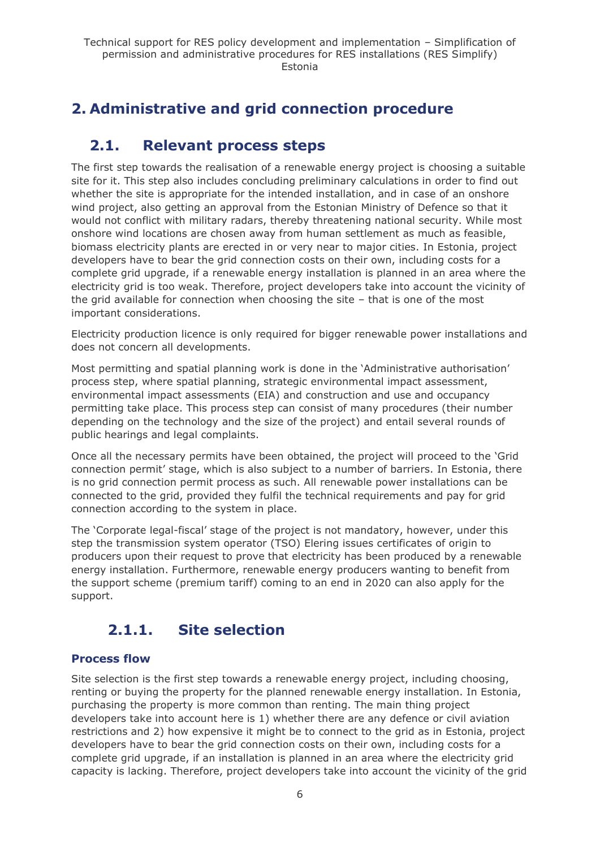## <span id="page-5-0"></span>**2. Administrative and grid connection procedure**

## <span id="page-5-1"></span>**2.1. Relevant process steps**

The first step towards the realisation of a renewable energy project is choosing a suitable site for it. This step also includes concluding preliminary calculations in order to find out whether the site is appropriate for the intended installation, and in case of an onshore wind project, also getting an approval from the Estonian Ministry of Defence so that it would not conflict with military radars, thereby threatening national security. While most onshore wind locations are chosen away from human settlement as much as feasible, biomass electricity plants are erected in or very near to major cities. In Estonia, project developers have to bear the grid connection costs on their own, including costs for a complete grid upgrade, if a renewable energy installation is planned in an area where the electricity grid is too weak. Therefore, project developers take into account the vicinity of the grid available for connection when choosing the site – that is one of the most important considerations.

Electricity production licence is only required for bigger renewable power installations and does not concern all developments.

Most permitting and spatial planning work is done in the 'Administrative authorisation' process step, where spatial planning, strategic environmental impact assessment, environmental impact assessments (EIA) and construction and use and occupancy permitting take place. This process step can consist of many procedures (their number depending on the technology and the size of the project) and entail several rounds of public hearings and legal complaints.

Once all the necessary permits have been obtained, the project will proceed to the 'Grid connection permit' stage, which is also subject to a number of barriers. In Estonia, there is no grid connection permit process as such. All renewable power installations can be connected to the grid, provided they fulfil the technical requirements and pay for grid connection according to the system in place.

The 'Corporate legal-fiscal' stage of the project is not mandatory, however, under this step the transmission system operator (TSO) Elering issues certificates of origin to producers upon their request to prove that electricity has been produced by a renewable energy installation. Furthermore, renewable energy producers wanting to benefit from the support scheme (premium tariff) coming to an end in 2020 can also apply for the support.

## <span id="page-5-2"></span>**2.1.1. Site selection**

## **Process flow**

Site selection is the first step towards a renewable energy project, including choosing, renting or buying the property for the planned renewable energy installation. In Estonia, purchasing the property is more common than renting. The main thing project developers take into account here is 1) whether there are any defence or civil aviation restrictions and 2) how expensive it might be to connect to the grid as in Estonia, project developers have to bear the grid connection costs on their own, including costs for a complete grid upgrade, if an installation is planned in an area where the electricity grid capacity is lacking. Therefore, project developers take into account the vicinity of the grid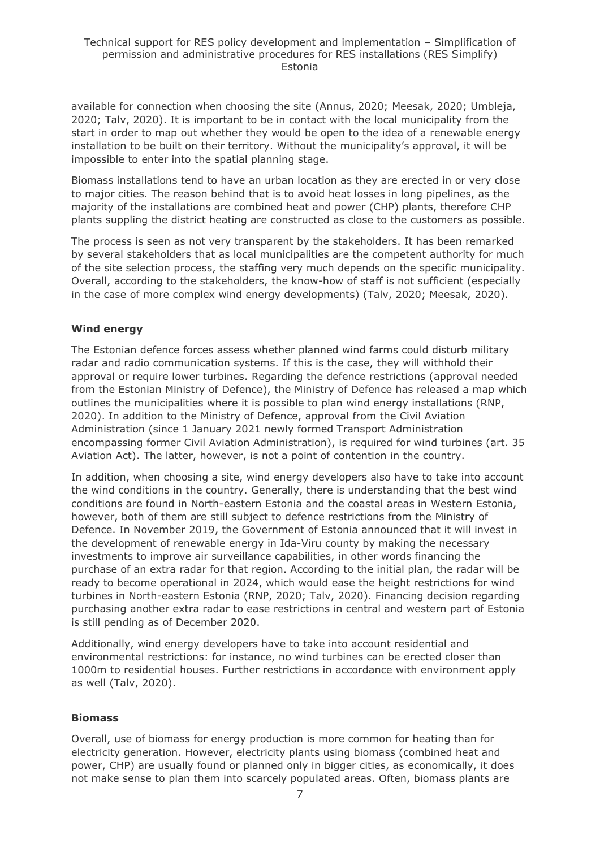available for connection when choosing the site (Annus, 2020; Meesak, 2020; Umbleja, 2020; Talv, 2020). It is important to be in contact with the local municipality from the start in order to map out whether they would be open to the idea of a renewable energy installation to be built on their territory. Without the municipality's approval, it will be impossible to enter into the spatial planning stage.

Biomass installations tend to have an urban location as they are erected in or very close to major cities. The reason behind that is to avoid heat losses in long pipelines, as the majority of the installations are combined heat and power (CHP) plants, therefore CHP plants suppling the district heating are constructed as close to the customers as possible.

The process is seen as not very transparent by the stakeholders. It has been remarked by several stakeholders that as local municipalities are the competent authority for much of the site selection process, the staffing very much depends on the specific municipality. Overall, according to the stakeholders, the know-how of staff is not sufficient (especially in the case of more complex wind energy developments) (Talv, 2020; Meesak, 2020).

#### **Wind energy**

The Estonian defence forces assess whether planned wind farms could disturb military radar and radio communication systems. If this is the case, they will withhold their approval or require lower turbines. Regarding the defence restrictions (approval needed from the Estonian Ministry of Defence), the Ministry of Defence has released a map which outlines the municipalities where it is possible to plan wind energy installations (RNP, 2020). In addition to the Ministry of Defence, approval from the Civil Aviation Administration (since 1 January 2021 newly formed Transport Administration encompassing former Civil Aviation Administration), is required for wind turbines (art. 35 Aviation Act). The latter, however, is not a point of contention in the country.

In addition, when choosing a site, wind energy developers also have to take into account the wind conditions in the country. Generally, there is understanding that the best wind conditions are found in North-eastern Estonia and the coastal areas in Western Estonia, however, both of them are still subject to defence restrictions from the Ministry of Defence. In November 2019, the Government of Estonia announced that it will invest in the development of renewable energy in Ida-Viru county by making the necessary investments to improve air surveillance capabilities, in other words financing the purchase of an extra radar for that region. According to the initial plan, the radar will be ready to become operational in 2024, which would ease the height restrictions for wind turbines in North-eastern Estonia (RNP, 2020; Talv, 2020). Financing decision regarding purchasing another extra radar to ease restrictions in central and western part of Estonia is still pending as of December 2020.

Additionally, wind energy developers have to take into account residential and environmental restrictions: for instance, no wind turbines can be erected closer than 1000m to residential houses. Further restrictions in accordance with environment apply as well (Talv, 2020).

#### **Biomass**

Overall, use of biomass for energy production is more common for heating than for electricity generation. However, electricity plants using biomass (combined heat and power, CHP) are usually found or planned only in bigger cities, as economically, it does not make sense to plan them into scarcely populated areas. Often, biomass plants are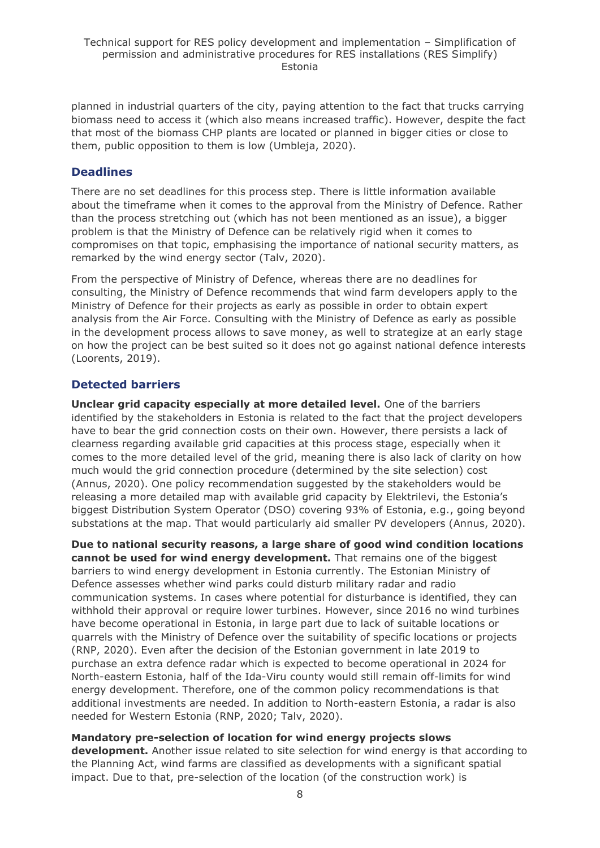planned in industrial quarters of the city, paying attention to the fact that trucks carrying biomass need to access it (which also means increased traffic). However, despite the fact that most of the biomass CHP plants are located or planned in bigger cities or close to them, public opposition to them is low (Umbleja, 2020).

## **Deadlines**

There are no set deadlines for this process step. There is little information available about the timeframe when it comes to the approval from the Ministry of Defence. Rather than the process stretching out (which has not been mentioned as an issue), a bigger problem is that the Ministry of Defence can be relatively rigid when it comes to compromises on that topic, emphasising the importance of national security matters, as remarked by the wind energy sector (Talv, 2020).

From the perspective of Ministry of Defence, whereas there are no deadlines for consulting, the Ministry of Defence recommends that wind farm developers apply to the Ministry of Defence for their projects as early as possible in order to obtain expert analysis from the Air Force. Consulting with the Ministry of Defence as early as possible in the development process allows to save money, as well to strategize at an early stage on how the project can be best suited so it does not go against national defence interests (Loorents, 2019).

## **Detected barriers**

**Unclear grid capacity especially at more detailed level.** One of the barriers identified by the stakeholders in Estonia is related to the fact that the project developers have to bear the grid connection costs on their own. However, there persists a lack of clearness regarding available grid capacities at this process stage, especially when it comes to the more detailed level of the grid, meaning there is also lack of clarity on how much would the grid connection procedure (determined by the site selection) cost (Annus, 2020). One policy recommendation suggested by the stakeholders would be releasing a more detailed map with available grid capacity by Elektrilevi, the Estonia's biggest Distribution System Operator (DSO) covering 93% of Estonia, e.g., going beyond substations at the map. That would particularly aid smaller PV developers (Annus, 2020).

**Due to national security reasons, a large share of good wind condition locations cannot be used for wind energy development.** That remains one of the biggest barriers to wind energy development in Estonia currently. The Estonian Ministry of Defence assesses whether wind parks could disturb military radar and radio communication systems. In cases where potential for disturbance is identified, they can withhold their approval or require lower turbines. However, since 2016 no wind turbines have become operational in Estonia, in large part due to lack of suitable locations or quarrels with the Ministry of Defence over the suitability of specific locations or projects (RNP, 2020). Even after the decision of the Estonian government in late 2019 to purchase an extra defence radar which is expected to become operational in 2024 for North-eastern Estonia, half of the Ida-Viru county would still remain off-limits for wind energy development. Therefore, one of the common policy recommendations is that additional investments are needed. In addition to North-eastern Estonia, a radar is also needed for Western Estonia (RNP, 2020; Talv, 2020).

## **Mandatory pre-selection of location for wind energy projects slows**

**development.** Another issue related to site selection for wind energy is that according to the Planning Act, wind farms are classified as developments with a significant spatial impact. Due to that, pre-selection of the location (of the construction work) is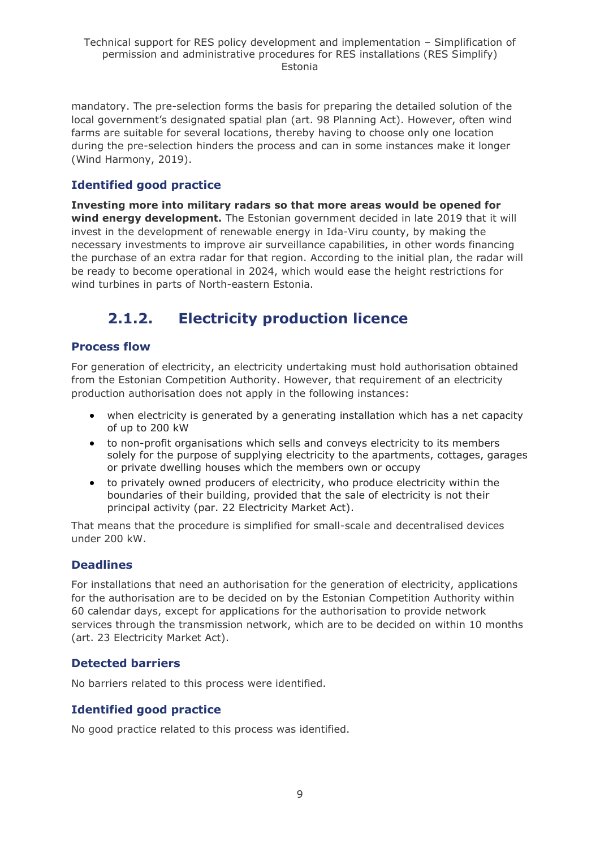mandatory. The pre-selection forms the basis for preparing the detailed solution of the local government's designated spatial plan (art. 98 Planning Act). However, often wind farms are suitable for several locations, thereby having to choose only one location during the pre-selection hinders the process and can in some instances make it longer (Wind Harmony, 2019).

## **Identified good practice**

**Investing more into military radars so that more areas would be opened for wind energy development.** The Estonian government decided in late 2019 that it will invest in the development of renewable energy in Ida-Viru county, by making the necessary investments to improve air surveillance capabilities, in other words financing the purchase of an extra radar for that region. According to the initial plan, the radar will be ready to become operational in 2024, which would ease the height restrictions for wind turbines in parts of North-eastern Estonia.

## <span id="page-8-0"></span>**2.1.2. Electricity production licence**

## **Process flow**

For generation of electricity, an electricity undertaking must hold authorisation obtained from the Estonian Competition Authority. However, that requirement of an electricity production authorisation does not apply in the following instances:

- when electricity is generated by a generating installation which has a net capacity of up to 200 kW
- to non-profit organisations which sells and conveys electricity to its members solely for the purpose of supplying electricity to the apartments, cottages, garages or private dwelling houses which the members own or occupy
- to privately owned producers of electricity, who produce electricity within the boundaries of their building, provided that the sale of electricity is not their principal activity (par. 22 Electricity Market Act).

That means that the procedure is simplified for small-scale and decentralised devices under 200 kW.

## **Deadlines**

For installations that need an authorisation for the generation of electricity, applications for the authorisation are to be decided on by the Estonian Competition Authority within 60 calendar days, except for applications for the authorisation to provide network services through the transmission network, which are to be decided on within 10 months (art. 23 Electricity Market Act).

## **Detected barriers**

No barriers related to this process were identified.

## **Identified good practice**

No good practice related to this process was identified.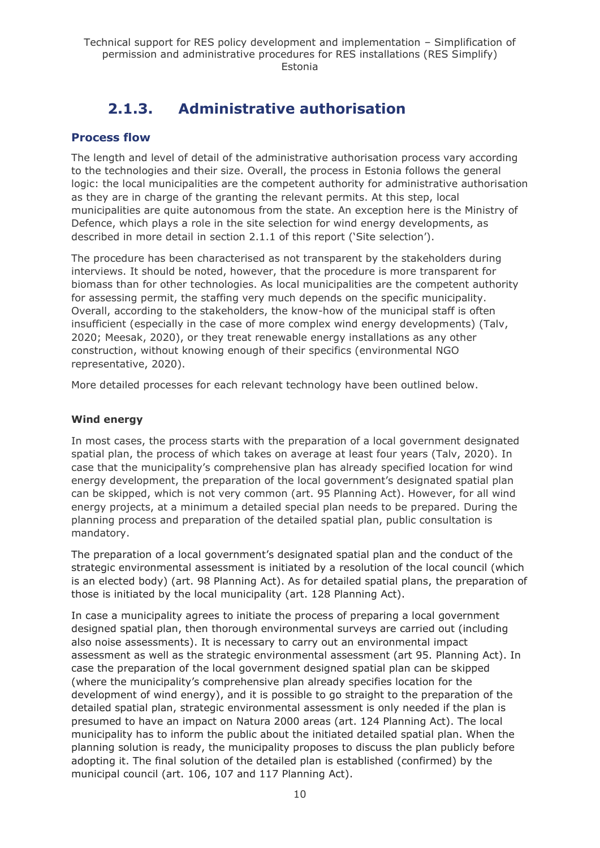## **2.1.3. Administrative authorisation**

## <span id="page-9-0"></span>**Process flow**

The length and level of detail of the administrative authorisation process vary according to the technologies and their size. Overall, the process in Estonia follows the general logic: the local municipalities are the competent authority for administrative authorisation as they are in charge of the granting the relevant permits. At this step, local municipalities are quite autonomous from the state. An exception here is the Ministry of Defence, which plays a role in the site selection for wind energy developments, as described in more detail in section 2.1.1 of this report ('Site selection').

The procedure has been characterised as not transparent by the stakeholders during interviews. It should be noted, however, that the procedure is more transparent for biomass than for other technologies. As local municipalities are the competent authority for assessing permit, the staffing very much depends on the specific municipality. Overall, according to the stakeholders, the know-how of the municipal staff is often insufficient (especially in the case of more complex wind energy developments) (Talv, 2020; Meesak, 2020), or they treat renewable energy installations as any other construction, without knowing enough of their specifics (environmental NGO representative, 2020).

More detailed processes for each relevant technology have been outlined below.

#### **Wind energy**

In most cases, the process starts with the preparation of a local government designated spatial plan, the process of which takes on average at least four years (Talv, 2020). In case that the municipality's comprehensive plan has already specified location for wind energy development, the preparation of the local government's designated spatial plan can be skipped, which is not very common (art. 95 Planning Act). However, for all wind energy projects, at a minimum a detailed special plan needs to be prepared. During the planning process and preparation of the detailed spatial plan, public consultation is mandatory.

The preparation of a local government's designated spatial plan and the conduct of the strategic environmental assessment is initiated by a resolution of the local council (which is an elected body) (art. 98 Planning Act). As for detailed spatial plans, the preparation of those is initiated by the local municipality (art. 128 Planning Act).

In case a municipality agrees to initiate the process of preparing a local government designed spatial plan, then thorough environmental surveys are carried out (including also noise assessments). It is necessary to carry out an environmental impact assessment as well as the strategic environmental assessment (art 95. Planning Act). In case the preparation of the local government designed spatial plan can be skipped (where the municipality's comprehensive plan already specifies location for the development of wind energy), and it is possible to go straight to the preparation of the detailed spatial plan, strategic environmental assessment is only needed if the plan is presumed to have an impact on Natura 2000 areas (art. 124 Planning Act). The local municipality has to inform the public about the initiated detailed spatial plan. When the planning solution is ready, the municipality proposes to discuss the plan publicly before adopting it. The final solution of the detailed plan is established (confirmed) by the municipal council (art. 106, 107 and 117 Planning Act).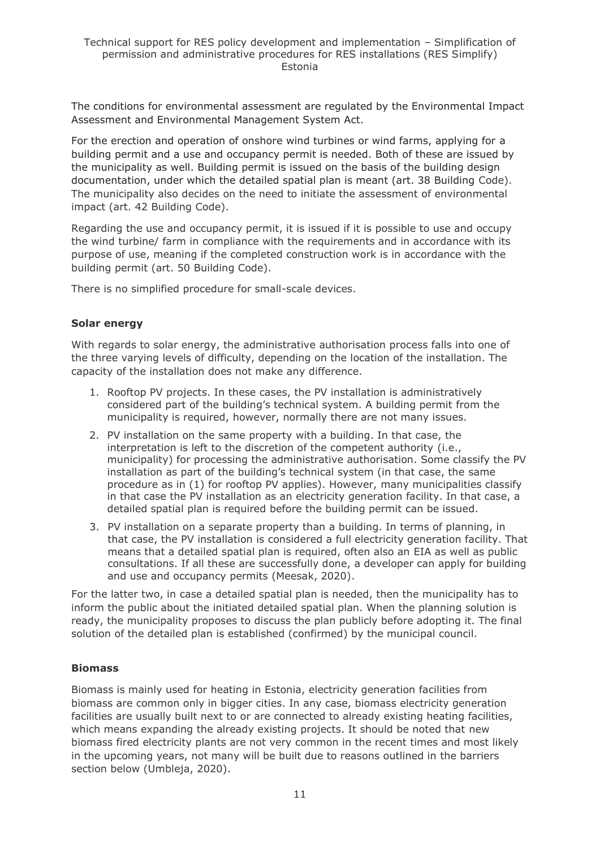The conditions for environmental assessment are regulated by the Environmental Impact Assessment and Environmental Management System Act.

For the erection and operation of onshore wind turbines or wind farms, applying for a building permit and a use and occupancy permit is needed. Both of these are issued by the municipality as well. Building permit is issued on the basis of the building design documentation, under which the detailed spatial plan is meant (art. 38 Building Code). The municipality also decides on the need to initiate the assessment of environmental impact (art. 42 Building Code).

Regarding the use and occupancy permit, it is issued if it is possible to use and occupy the wind turbine/ farm in compliance with the requirements and in accordance with its purpose of use, meaning if the completed construction work is in accordance with the building permit (art. 50 Building Code).

There is no simplified procedure for small-scale devices.

#### **Solar energy**

With regards to solar energy, the administrative authorisation process falls into one of the three varying levels of difficulty, depending on the location of the installation. The capacity of the installation does not make any difference.

- 1. Rooftop PV projects. In these cases, the PV installation is administratively considered part of the building's technical system. A building permit from the municipality is required, however, normally there are not many issues.
- 2. PV installation on the same property with a building. In that case, the interpretation is left to the discretion of the competent authority (i.e., municipality) for processing the administrative authorisation. Some classify the PV installation as part of the building's technical system (in that case, the same procedure as in (1) for rooftop PV applies). However, many municipalities classify in that case the PV installation as an electricity generation facility. In that case, a detailed spatial plan is required before the building permit can be issued.
- 3. PV installation on a separate property than a building. In terms of planning, in that case, the PV installation is considered a full electricity generation facility. That means that a detailed spatial plan is required, often also an EIA as well as public consultations. If all these are successfully done, a developer can apply for building and use and occupancy permits (Meesak, 2020).

For the latter two, in case a detailed spatial plan is needed, then the municipality has to inform the public about the initiated detailed spatial plan. When the planning solution is ready, the municipality proposes to discuss the plan publicly before adopting it. The final solution of the detailed plan is established (confirmed) by the municipal council.

#### **Biomass**

Biomass is mainly used for heating in Estonia, electricity generation facilities from biomass are common only in bigger cities. In any case, biomass electricity generation facilities are usually built next to or are connected to already existing heating facilities, which means expanding the already existing projects. It should be noted that new biomass fired electricity plants are not very common in the recent times and most likely in the upcoming years, not many will be built due to reasons outlined in the barriers section below (Umbleja, 2020).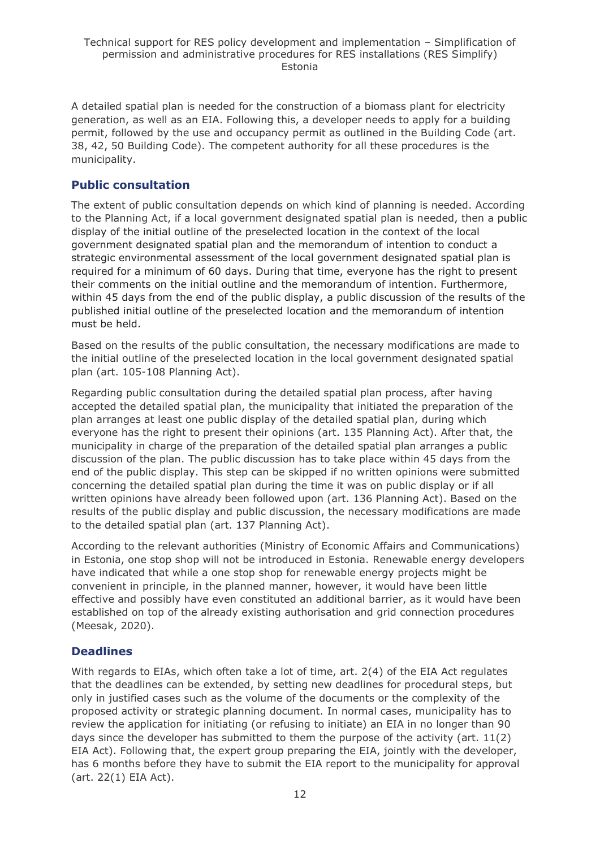A detailed spatial plan is needed for the construction of a biomass plant for electricity generation, as well as an EIA. Following this, a developer needs to apply for a building permit, followed by the use and occupancy permit as outlined in the Building Code (art. 38, 42, 50 Building Code). The competent authority for all these procedures is the municipality.

## **Public consultation**

The extent of public consultation depends on which kind of planning is needed. According to the Planning Act, if a local government designated spatial plan is needed, then a public display of the initial outline of the preselected location in the context of the local government designated spatial plan and the memorandum of intention to conduct a strategic environmental assessment of the local government designated spatial plan is required for a minimum of 60 days. During that time, everyone has the right to present their comments on the initial outline and the memorandum of intention. Furthermore, within 45 days from the end of the public display, a public discussion of the results of the published initial outline of the preselected location and the memorandum of intention must be held.

Based on the results of the public consultation, the necessary modifications are made to the initial outline of the preselected location in the local government designated spatial plan (art. 105-108 Planning Act).

Regarding public consultation during the detailed spatial plan process, after having accepted the detailed spatial plan, the municipality that initiated the preparation of the plan arranges at least one public display of the detailed spatial plan, during which everyone has the right to present their opinions (art. 135 Planning Act). After that, the municipality in charge of the preparation of the detailed spatial plan arranges a public discussion of the plan. The public discussion has to take place within 45 days from the end of the public display. This step can be skipped if no written opinions were submitted concerning the detailed spatial plan during the time it was on public display or if all written opinions have already been followed upon (art. 136 Planning Act). Based on the results of the public display and public discussion, the necessary modifications are made to the detailed spatial plan (art. 137 Planning Act).

According to the relevant authorities (Ministry of Economic Affairs and Communications) in Estonia, one stop shop will not be introduced in Estonia. Renewable energy developers have indicated that while a one stop shop for renewable energy projects might be convenient in principle, in the planned manner, however, it would have been little effective and possibly have even constituted an additional barrier, as it would have been established on top of the already existing authorisation and grid connection procedures (Meesak, 2020).

## **Deadlines**

With regards to EIAs, which often take a lot of time, art. 2(4) of the EIA Act regulates that the deadlines can be extended, by setting new deadlines for procedural steps, but only in justified cases such as the volume of the documents or the complexity of the proposed activity or strategic planning document. In normal cases, municipality has to review the application for initiating (or refusing to initiate) an EIA in no longer than 90 days since the developer has submitted to them the purpose of the activity (art. 11(2) EIA Act). Following that, the expert group preparing the EIA, jointly with the developer, has 6 months before they have to submit the EIA report to the municipality for approval (art. 22(1) EIA Act).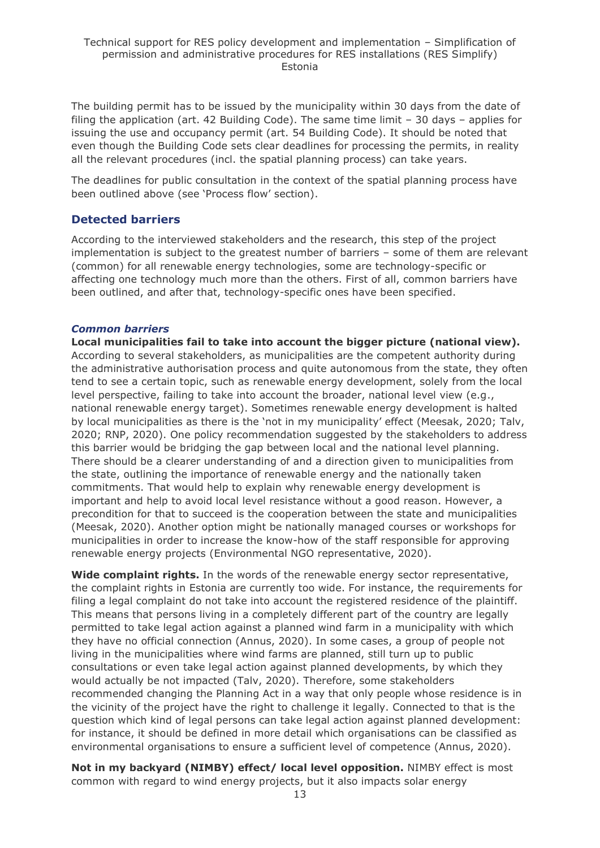The building permit has to be issued by the municipality within 30 days from the date of filing the application (art. 42 Building Code). The same time limit – 30 days – applies for issuing the use and occupancy permit (art. 54 Building Code). It should be noted that even though the Building Code sets clear deadlines for processing the permits, in reality all the relevant procedures (incl. the spatial planning process) can take years.

The deadlines for public consultation in the context of the spatial planning process have been outlined above (see 'Process flow' section).

## **Detected barriers**

According to the interviewed stakeholders and the research, this step of the project implementation is subject to the greatest number of barriers – some of them are relevant (common) for all renewable energy technologies, some are technology-specific or affecting one technology much more than the others. First of all, common barriers have been outlined, and after that, technology-specific ones have been specified.

#### *Common barriers*

**Local municipalities fail to take into account the bigger picture (national view).** According to several stakeholders, as municipalities are the competent authority during the administrative authorisation process and quite autonomous from the state, they often tend to see a certain topic, such as renewable energy development, solely from the local level perspective, failing to take into account the broader, national level view (e.g., national renewable energy target). Sometimes renewable energy development is halted by local municipalities as there is the 'not in my municipality' effect (Meesak, 2020; Talv, 2020; RNP, 2020). One policy recommendation suggested by the stakeholders to address this barrier would be bridging the gap between local and the national level planning. There should be a clearer understanding of and a direction given to municipalities from the state, outlining the importance of renewable energy and the nationally taken commitments. That would help to explain why renewable energy development is important and help to avoid local level resistance without a good reason. However, a precondition for that to succeed is the cooperation between the state and municipalities (Meesak, 2020). Another option might be nationally managed courses or workshops for municipalities in order to increase the know-how of the staff responsible for approving renewable energy projects (Environmental NGO representative, 2020).

**Wide complaint rights.** In the words of the renewable energy sector representative, the complaint rights in Estonia are currently too wide. For instance, the requirements for filing a legal complaint do not take into account the registered residence of the plaintiff. This means that persons living in a completely different part of the country are legally permitted to take legal action against a planned wind farm in a municipality with which they have no official connection (Annus, 2020). In some cases, a group of people not living in the municipalities where wind farms are planned, still turn up to public consultations or even take legal action against planned developments, by which they would actually be not impacted (Talv, 2020). Therefore, some stakeholders recommended changing the Planning Act in a way that only people whose residence is in the vicinity of the project have the right to challenge it legally. Connected to that is the question which kind of legal persons can take legal action against planned development: for instance, it should be defined in more detail which organisations can be classified as environmental organisations to ensure a sufficient level of competence (Annus, 2020).

**Not in my backyard (NIMBY) effect/ local level opposition.** NIMBY effect is most common with regard to wind energy projects, but it also impacts solar energy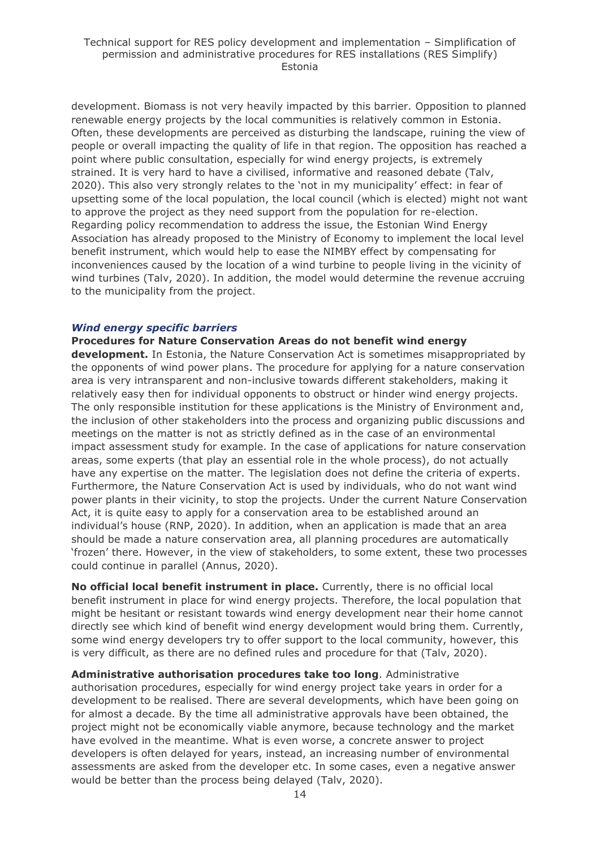development. Biomass is not very heavily impacted by this barrier. Opposition to planned renewable energy projects by the local communities is relatively common in Estonia. Often, these developments are perceived as disturbing the landscape, ruining the view of people or overall impacting the quality of life in that region. The opposition has reached a point where public consultation, especially for wind energy projects, is extremely strained. It is very hard to have a civilised, informative and reasoned debate (Talv, 2020). This also very strongly relates to the 'not in my municipality' effect: in fear of upsetting some of the local population, the local council (which is elected) might not want to approve the project as they need support from the population for re-election. Regarding policy recommendation to address the issue, the Estonian Wind Energy Association has already proposed to the Ministry of Economy to implement the local level benefit instrument, which would help to ease the NIMBY effect by compensating for inconveniences caused by the location of a wind turbine to people living in the vicinity of wind turbines (Talv, 2020). In addition, the model would determine the revenue accruing to the municipality from the project.

#### *Wind energy specific barriers*

**Procedures for Nature Conservation Areas do not benefit wind energy** 

**development.** In Estonia, the Nature Conservation Act is sometimes misappropriated by the opponents of wind power plans. The procedure for applying for a nature conservation area is very intransparent and non-inclusive towards different stakeholders, making it relatively easy then for individual opponents to obstruct or hinder wind energy projects. The only responsible institution for these applications is the Ministry of Environment and, the inclusion of other stakeholders into the process and organizing public discussions and meetings on the matter is not as strictly defined as in the case of an environmental impact assessment study for example. In the case of applications for nature conservation areas, some experts (that play an essential role in the whole process), do not actually have any expertise on the matter. The legislation does not define the criteria of experts. Furthermore, the Nature Conservation Act is used by individuals, who do not want wind power plants in their vicinity, to stop the projects. Under the current Nature Conservation Act, it is quite easy to apply for a conservation area to be established around an individual's house (RNP, 2020). In addition, when an application is made that an area should be made a nature conservation area, all planning procedures are automatically 'frozen' there. However, in the view of stakeholders, to some extent, these two processes could continue in parallel (Annus, 2020).

**No official local benefit instrument in place.** Currently, there is no official local benefit instrument in place for wind energy projects. Therefore, the local population that might be hesitant or resistant towards wind energy development near their home cannot directly see which kind of benefit wind energy development would bring them. Currently, some wind energy developers try to offer support to the local community, however, this is very difficult, as there are no defined rules and procedure for that (Talv, 2020).

**Administrative authorisation procedures take too long**. Administrative authorisation procedures, especially for wind energy project take years in order for a development to be realised. There are several developments, which have been going on for almost a decade. By the time all administrative approvals have been obtained, the project might not be economically viable anymore, because technology and the market have evolved in the meantime. What is even worse, a concrete answer to project developers is often delayed for years, instead, an increasing number of environmental assessments are asked from the developer etc. In some cases, even a negative answer would be better than the process being delayed (Talv, 2020).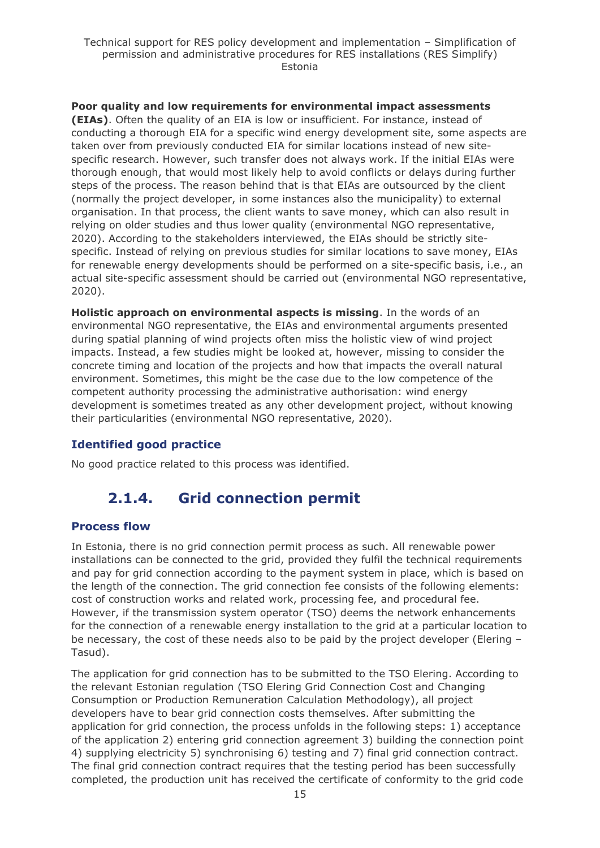**Poor quality and low requirements for environmental impact assessments (EIAs)**. Often the quality of an EIA is low or insufficient. For instance, instead of conducting a thorough EIA for a specific wind energy development site, some aspects are taken over from previously conducted EIA for similar locations instead of new sitespecific research. However, such transfer does not always work. If the initial EIAs were thorough enough, that would most likely help to avoid conflicts or delays during further steps of the process. The reason behind that is that EIAs are outsourced by the client (normally the project developer, in some instances also the municipality) to external organisation. In that process, the client wants to save money, which can also result in relying on older studies and thus lower quality (environmental NGO representative, 2020). According to the stakeholders interviewed, the EIAs should be strictly sitespecific. Instead of relying on previous studies for similar locations to save money, EIAs for renewable energy developments should be performed on a site-specific basis, i.e., an actual site-specific assessment should be carried out (environmental NGO representative, 2020).

**Holistic approach on environmental aspects is missing**. In the words of an environmental NGO representative, the EIAs and environmental arguments presented during spatial planning of wind projects often miss the holistic view of wind project impacts. Instead, a few studies might be looked at, however, missing to consider the concrete timing and location of the projects and how that impacts the overall natural environment. Sometimes, this might be the case due to the low competence of the competent authority processing the administrative authorisation: wind energy development is sometimes treated as any other development project, without knowing their particularities (environmental NGO representative, 2020).

## **Identified good practice**

<span id="page-14-0"></span>No good practice related to this process was identified.

## **2.1.4. Grid connection permit**

## **Process flow**

In Estonia, there is no grid connection permit process as such. All renewable power installations can be connected to the grid, provided they fulfil the technical requirements and pay for grid connection according to the payment system in place, which is based on the length of the connection. The grid connection fee consists of the following elements: cost of construction works and related work, processing fee, and procedural fee. However, if the transmission system operator (TSO) deems the network enhancements for the connection of a renewable energy installation to the grid at a particular location to be necessary, the cost of these needs also to be paid by the project developer (Elering – Tasud).

The application for grid connection has to be submitted to the TSO Elering. According to the relevant Estonian regulation (TSO Elering Grid Connection Cost and Changing Consumption or Production Remuneration Calculation Methodology), all project developers have to bear grid connection costs themselves. After submitting the application for grid connection, the process unfolds in the following steps: 1) acceptance of the application 2) entering grid connection agreement 3) building the connection point 4) supplying electricity 5) synchronising 6) testing and 7) final grid connection contract. The final grid connection contract requires that the testing period has been successfully completed, the production unit has received the certificate of conformity to the grid code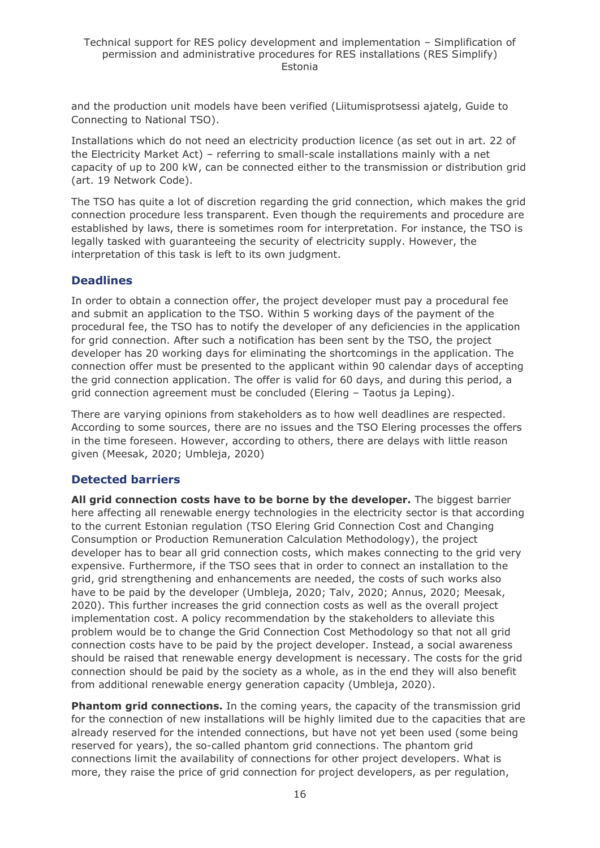and the production unit models have been verified (Liitumisprotsessi ajatelg, Guide to Connecting to National TSO).

Installations which do not need an electricity production licence (as set out in art. 22 of the Electricity Market Act) – referring to small-scale installations mainly with a net capacity of up to 200 kW, can be connected either to the transmission or distribution grid (art. 19 Network Code).

The TSO has quite a lot of discretion regarding the grid connection, which makes the grid connection procedure less transparent. Even though the requirements and procedure are established by laws, there is sometimes room for interpretation. For instance, the TSO is legally tasked with guaranteeing the security of electricity supply. However, the interpretation of this task is left to its own judgment.

### **Deadlines**

In order to obtain a connection offer, the project developer must pay a procedural fee and submit an application to the TSO. Within 5 working days of the payment of the procedural fee, the TSO has to notify the developer of any deficiencies in the application for grid connection. After such a notification has been sent by the TSO, the project developer has 20 working days for eliminating the shortcomings in the application. The connection offer must be presented to the applicant within 90 calendar days of accepting the grid connection application. The offer is valid for 60 days, and during this period, a grid connection agreement must be concluded (Elering – Taotus ja Leping).

There are varying opinions from stakeholders as to how well deadlines are respected. According to some sources, there are no issues and the TSO Elering processes the offers in the time foreseen. However, according to others, there are delays with little reason given (Meesak, 2020; Umbleja, 2020)

## **Detected barriers**

**All grid connection costs have to be borne by the developer.** The biggest barrier here affecting all renewable energy technologies in the electricity sector is that according to the current Estonian regulation (TSO Elering Grid Connection Cost and Changing Consumption or Production Remuneration Calculation Methodology), the project developer has to bear all grid connection costs, which makes connecting to the grid very expensive. Furthermore, if the TSO sees that in order to connect an installation to the grid, grid strengthening and enhancements are needed, the costs of such works also have to be paid by the developer (Umbleja, 2020; Talv, 2020; Annus, 2020; Meesak, 2020). This further increases the grid connection costs as well as the overall project implementation cost. A policy recommendation by the stakeholders to alleviate this problem would be to change the Grid Connection Cost Methodology so that not all grid connection costs have to be paid by the project developer. Instead, a social awareness should be raised that renewable energy development is necessary. The costs for the grid connection should be paid by the society as a whole, as in the end they will also benefit from additional renewable energy generation capacity (Umbleja, 2020).

**Phantom grid connections.** In the coming years, the capacity of the transmission grid for the connection of new installations will be highly limited due to the capacities that are already reserved for the intended connections, but have not yet been used (some being reserved for years), the so-called phantom grid connections. The phantom grid connections limit the availability of connections for other project developers. What is more, they raise the price of grid connection for project developers, as per regulation,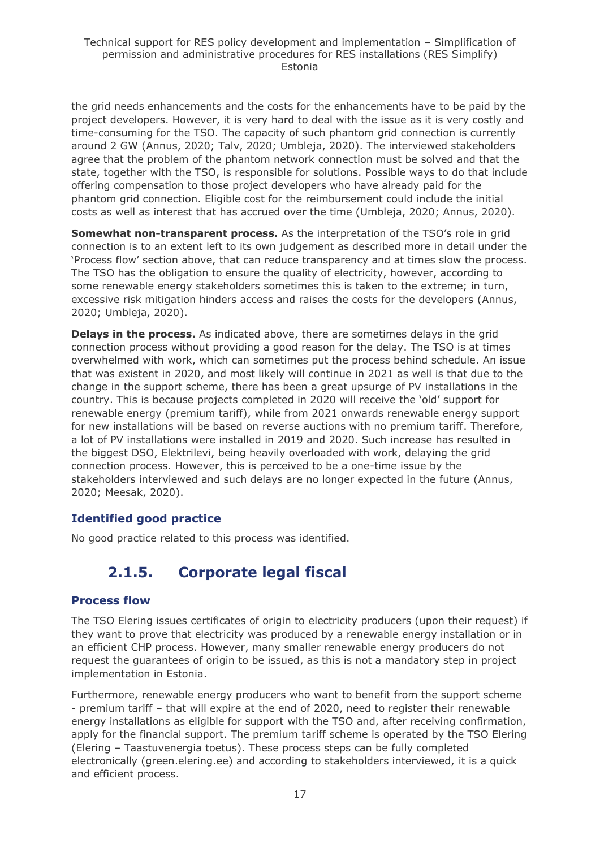the grid needs enhancements and the costs for the enhancements have to be paid by the project developers. However, it is very hard to deal with the issue as it is very costly and time-consuming for the TSO. The capacity of such phantom grid connection is currently around 2 GW (Annus, 2020; Talv, 2020; Umbleja, 2020). The interviewed stakeholders agree that the problem of the phantom network connection must be solved and that the state, together with the TSO, is responsible for solutions. Possible ways to do that include offering compensation to those project developers who have already paid for the phantom grid connection. Eligible cost for the reimbursement could include the initial costs as well as interest that has accrued over the time (Umbleja, 2020; Annus, 2020).

**Somewhat non-transparent process.** As the interpretation of the TSO's role in grid connection is to an extent left to its own judgement as described more in detail under the 'Process flow' section above, that can reduce transparency and at times slow the process. The TSO has the obligation to ensure the quality of electricity, however, according to some renewable energy stakeholders sometimes this is taken to the extreme; in turn, excessive risk mitigation hinders access and raises the costs for the developers (Annus, 2020; Umbleja, 2020).

**Delays in the process.** As indicated above, there are sometimes delays in the grid connection process without providing a good reason for the delay. The TSO is at times overwhelmed with work, which can sometimes put the process behind schedule. An issue that was existent in 2020, and most likely will continue in 2021 as well is that due to the change in the support scheme, there has been a great upsurge of PV installations in the country. This is because projects completed in 2020 will receive the 'old' support for renewable energy (premium tariff), while from 2021 onwards renewable energy support for new installations will be based on reverse auctions with no premium tariff. Therefore, a lot of PV installations were installed in 2019 and 2020. Such increase has resulted in the biggest DSO, Elektrilevi, being heavily overloaded with work, delaying the grid connection process. However, this is perceived to be a one-time issue by the stakeholders interviewed and such delays are no longer expected in the future (Annus, 2020; Meesak, 2020).

## **Identified good practice**

<span id="page-16-0"></span>No good practice related to this process was identified.

## **2.1.5. Corporate legal fiscal**

## **Process flow**

The TSO Elering issues certificates of origin to electricity producers (upon their request) if they want to prove that electricity was produced by a renewable energy installation or in an efficient CHP process. However, many smaller renewable energy producers do not request the guarantees of origin to be issued, as this is not a mandatory step in project implementation in Estonia.

Furthermore, renewable energy producers who want to benefit from the support scheme - premium tariff – that will expire at the end of 2020, need to register their renewable energy installations as eligible for support with the TSO and, after receiving confirmation, apply for the financial support. The premium tariff scheme is operated by the TSO Elering (Elering – Taastuvenergia toetus). These process steps can be fully completed electronically (green.elering.ee) and according to stakeholders interviewed, it is a quick and efficient process.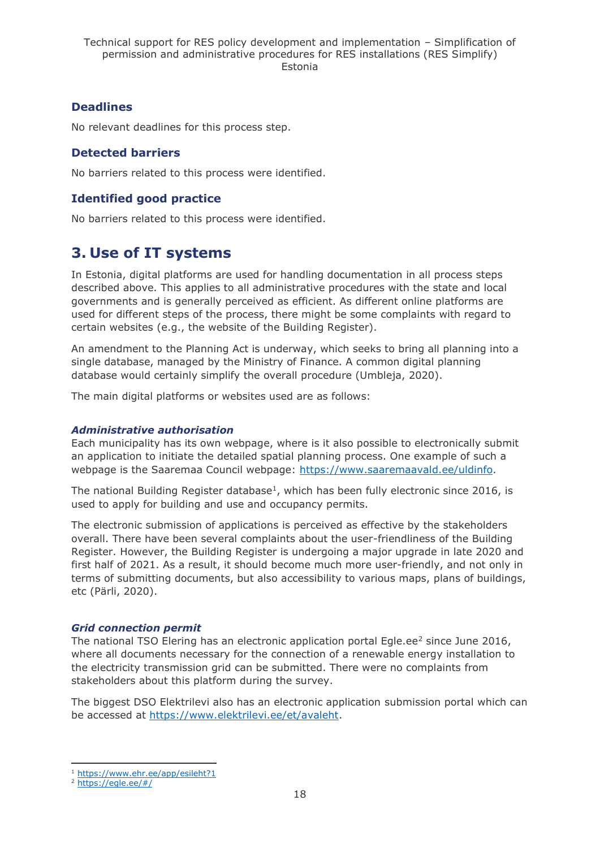## **Deadlines**

No relevant deadlines for this process step.

## **Detected barriers**

No barriers related to this process were identified.

## **Identified good practice**

No barriers related to this process were identified.

## <span id="page-17-0"></span>**3. Use of IT systems**

In Estonia, digital platforms are used for handling documentation in all process steps described above. This applies to all administrative procedures with the state and local governments and is generally perceived as efficient. As different online platforms are used for different steps of the process, there might be some complaints with regard to certain websites (e.g., the website of the Building Register).

An amendment to the Planning Act is underway, which seeks to bring all planning into a single database, managed by the Ministry of Finance. A common digital planning database would certainly simplify the overall procedure (Umbleja, 2020).

The main digital platforms or websites used are as follows:

#### *Administrative authorisation*

Each municipality has its own webpage, where is it also possible to electronically submit an application to initiate the detailed spatial planning process. One example of such a webpage is the Saaremaa Council webpage: [https://www.saaremaavald.ee/uldinfo.](https://www.saaremaavald.ee/uldinfo)

The national Building Register database<sup>1</sup>, which has been fully electronic since 2016, is used to apply for building and use and occupancy permits.

The electronic submission of applications is perceived as effective by the stakeholders overall. There have been several complaints about the user-friendliness of the Building Register. However, the Building Register is undergoing a major upgrade in late 2020 and first half of 2021. As a result, it should become much more user-friendly, and not only in terms of submitting documents, but also accessibility to various maps, plans of buildings, etc (Pärli, 2020).

#### *Grid connection permit*

The national TSO Elering has an electronic application portal Egle.ee<sup>2</sup> since June 2016, where all documents necessary for the connection of a renewable energy installation to the electricity transmission grid can be submitted. There were no complaints from stakeholders about this platform during the survey.

The biggest DSO Elektrilevi also has an electronic application submission portal which can be accessed at [https://www.elektrilevi.ee/et/avaleht.](https://www.elektrilevi.ee/et/avaleht)

<sup>1</sup> <https://www.ehr.ee/app/esileht?1>

 $2 \overline{$  <https://egle.ee/#/>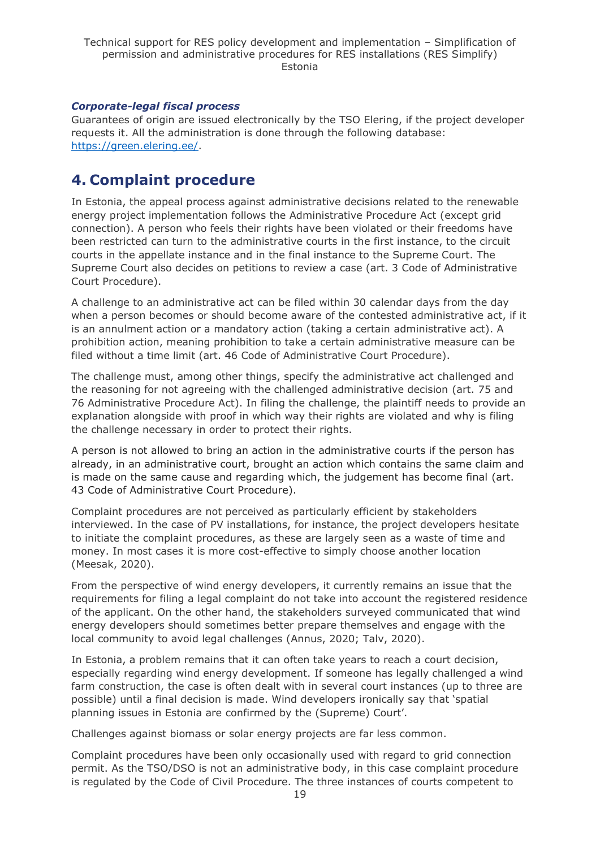### *Corporate-legal fiscal process*

Guarantees of origin are issued electronically by the TSO Elering, if the project developer requests it. All the administration is done through the following database: [https://green.elering.ee/.](https://green.elering.ee/)

## <span id="page-18-0"></span>**4. Complaint procedure**

In Estonia, the appeal process against administrative decisions related to the renewable energy project implementation follows the Administrative Procedure Act (except grid connection). A person who feels their rights have been violated or their freedoms have been restricted can turn to the administrative courts in the first instance, to the circuit courts in the appellate instance and in the final instance to the Supreme Court. The Supreme Court also decides on petitions to review a case (art. 3 Code of Administrative Court Procedure).

A challenge to an administrative act can be filed within 30 calendar days from the day when a person becomes or should become aware of the contested administrative act, if it is an annulment action or a mandatory action (taking a certain administrative act). A prohibition action, meaning prohibition to take a certain administrative measure can be filed without a time limit (art. 46 Code of Administrative Court Procedure).

The challenge must, among other things, specify the administrative act challenged and the reasoning for not agreeing with the challenged administrative decision (art. 75 and 76 Administrative Procedure Act). In filing the challenge, the plaintiff needs to provide an explanation alongside with proof in which way their rights are violated and why is filing the challenge necessary in order to protect their rights.

A person is not allowed to bring an action in the administrative courts if the person has already, in an administrative court, brought an action which contains the same claim and is made on the same cause and regarding which, the judgement has become final (art. 43 Code of Administrative Court Procedure).

Complaint procedures are not perceived as particularly efficient by stakeholders interviewed. In the case of PV installations, for instance, the project developers hesitate to initiate the complaint procedures, as these are largely seen as a waste of time and money. In most cases it is more cost-effective to simply choose another location (Meesak, 2020).

From the perspective of wind energy developers, it currently remains an issue that the requirements for filing a legal complaint do not take into account the registered residence of the applicant. On the other hand, the stakeholders surveyed communicated that wind energy developers should sometimes better prepare themselves and engage with the local community to avoid legal challenges (Annus, 2020; Talv, 2020).

In Estonia, a problem remains that it can often take years to reach a court decision, especially regarding wind energy development. If someone has legally challenged a wind farm construction, the case is often dealt with in several court instances (up to three are possible) until a final decision is made. Wind developers ironically say that 'spatial planning issues in Estonia are confirmed by the (Supreme) Court'.

Challenges against biomass or solar energy projects are far less common.

Complaint procedures have been only occasionally used with regard to grid connection permit. As the TSO/DSO is not an administrative body, in this case complaint procedure is regulated by the Code of Civil Procedure. The three instances of courts competent to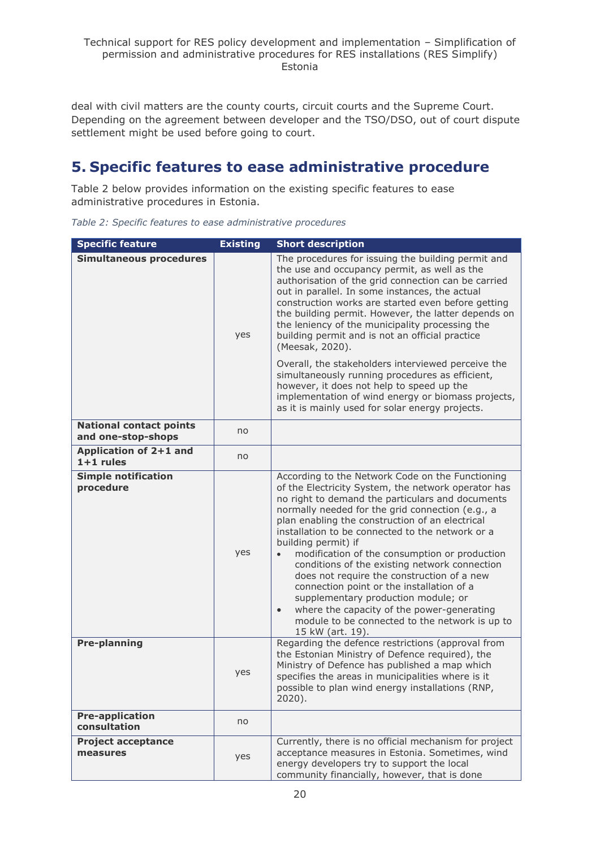deal with civil matters are the county courts, circuit courts and the Supreme Court. Depending on the agreement between developer and the TSO/DSO, out of court dispute settlement might be used before going to court.

## <span id="page-19-0"></span>**5. Specific features to ease administrative procedure**

Table 2 below provides information on the existing specific features to ease administrative procedures in Estonia.

|  |  |  |  |  | Table 2: Specific features to ease administrative procedures |  |
|--|--|--|--|--|--------------------------------------------------------------|--|
|--|--|--|--|--|--------------------------------------------------------------|--|

| <b>Specific feature</b>                              | <b>Existing</b> | <b>Short description</b>                                                                                                                                                                                                                                                                                                                                                                                                                                                                                                                                                                                                                                                                                                        |
|------------------------------------------------------|-----------------|---------------------------------------------------------------------------------------------------------------------------------------------------------------------------------------------------------------------------------------------------------------------------------------------------------------------------------------------------------------------------------------------------------------------------------------------------------------------------------------------------------------------------------------------------------------------------------------------------------------------------------------------------------------------------------------------------------------------------------|
| <b>Simultaneous procedures</b>                       | yes             | The procedures for issuing the building permit and<br>the use and occupancy permit, as well as the<br>authorisation of the grid connection can be carried<br>out in parallel. In some instances, the actual<br>construction works are started even before getting<br>the building permit. However, the latter depends on<br>the leniency of the municipality processing the<br>building permit and is not an official practice<br>(Meesak, 2020).                                                                                                                                                                                                                                                                               |
|                                                      |                 | Overall, the stakeholders interviewed perceive the<br>simultaneously running procedures as efficient,<br>however, it does not help to speed up the<br>implementation of wind energy or biomass projects,<br>as it is mainly used for solar energy projects.                                                                                                                                                                                                                                                                                                                                                                                                                                                                     |
| <b>National contact points</b><br>and one-stop-shops | no              |                                                                                                                                                                                                                                                                                                                                                                                                                                                                                                                                                                                                                                                                                                                                 |
| Application of 2+1 and<br>$1+1$ rules                | no              |                                                                                                                                                                                                                                                                                                                                                                                                                                                                                                                                                                                                                                                                                                                                 |
| <b>Simple notification</b><br>procedure              | yes             | According to the Network Code on the Functioning<br>of the Electricity System, the network operator has<br>no right to demand the particulars and documents<br>normally needed for the grid connection (e.g., a<br>plan enabling the construction of an electrical<br>installation to be connected to the network or a<br>building permit) if<br>modification of the consumption or production<br>$\bullet$<br>conditions of the existing network connection<br>does not require the construction of a new<br>connection point or the installation of a<br>supplementary production module; or<br>where the capacity of the power-generating<br>$\bullet$<br>module to be connected to the network is up to<br>15 kW (art. 19). |
| <b>Pre-planning</b>                                  | yes             | Regarding the defence restrictions (approval from<br>the Estonian Ministry of Defence required), the<br>Ministry of Defence has published a map which<br>specifies the areas in municipalities where is it<br>possible to plan wind energy installations (RNP<br>$2020$ ).                                                                                                                                                                                                                                                                                                                                                                                                                                                      |
| <b>Pre-application</b><br>consultation               | no              |                                                                                                                                                                                                                                                                                                                                                                                                                                                                                                                                                                                                                                                                                                                                 |
| <b>Project acceptance</b><br>measures                | yes             | Currently, there is no official mechanism for project<br>acceptance measures in Estonia. Sometimes, wind<br>energy developers try to support the local<br>community financially, however, that is done                                                                                                                                                                                                                                                                                                                                                                                                                                                                                                                          |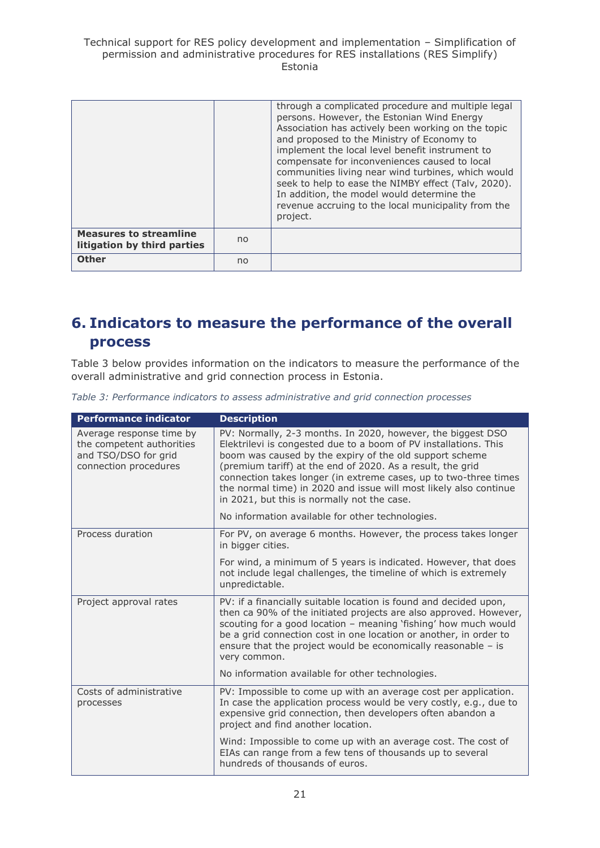Technical support for RES policy development and implementation – Simplification of permission and administrative procedures for RES installations (RES Simplify) Estonia

|                                                              |    | through a complicated procedure and multiple legal<br>persons. However, the Estonian Wind Energy<br>Association has actively been working on the topic<br>and proposed to the Ministry of Economy to<br>implement the local level benefit instrument to<br>compensate for inconveniences caused to local<br>communities living near wind turbines, which would<br>seek to help to ease the NIMBY effect (Talv, 2020).<br>In addition, the model would determine the<br>revenue accruing to the local municipality from the<br>project. |
|--------------------------------------------------------------|----|----------------------------------------------------------------------------------------------------------------------------------------------------------------------------------------------------------------------------------------------------------------------------------------------------------------------------------------------------------------------------------------------------------------------------------------------------------------------------------------------------------------------------------------|
| <b>Measures to streamline</b><br>litigation by third parties | no |                                                                                                                                                                                                                                                                                                                                                                                                                                                                                                                                        |
| <b>Other</b>                                                 | no |                                                                                                                                                                                                                                                                                                                                                                                                                                                                                                                                        |

## <span id="page-20-0"></span>**6. Indicators to measure the performance of the overall process**

Table 3 below provides information on the indicators to measure the performance of the overall administrative and grid connection process in Estonia.

*Table 3: Performance indicators to assess administrative and grid connection processes*

| <b>Performance indicator</b>                                                                           | <b>Description</b>                                                                                                                                                                                                                                                                                                                                                                                                                               |
|--------------------------------------------------------------------------------------------------------|--------------------------------------------------------------------------------------------------------------------------------------------------------------------------------------------------------------------------------------------------------------------------------------------------------------------------------------------------------------------------------------------------------------------------------------------------|
| Average response time by<br>the competent authorities<br>and TSO/DSO for grid<br>connection procedures | PV: Normally, 2-3 months. In 2020, however, the biggest DSO<br>Elektrilevi is congested due to a boom of PV installations. This<br>boom was caused by the expiry of the old support scheme<br>(premium tariff) at the end of 2020. As a result, the grid<br>connection takes longer (in extreme cases, up to two-three times<br>the normal time) in 2020 and issue will most likely also continue<br>in 2021, but this is normally not the case. |
|                                                                                                        | No information available for other technologies.                                                                                                                                                                                                                                                                                                                                                                                                 |
| Process duration                                                                                       | For PV, on average 6 months. However, the process takes longer<br>in bigger cities.                                                                                                                                                                                                                                                                                                                                                              |
|                                                                                                        | For wind, a minimum of 5 years is indicated. However, that does<br>not include legal challenges, the timeline of which is extremely<br>unpredictable.                                                                                                                                                                                                                                                                                            |
| Project approval rates                                                                                 | PV: if a financially suitable location is found and decided upon,<br>then ca 90% of the initiated projects are also approved. However,<br>scouting for a good location - meaning 'fishing' how much would<br>be a grid connection cost in one location or another, in order to<br>ensure that the project would be economically reasonable $-$ is<br>very common.                                                                                |
|                                                                                                        | No information available for other technologies.                                                                                                                                                                                                                                                                                                                                                                                                 |
| Costs of administrative<br>processes                                                                   | PV: Impossible to come up with an average cost per application.<br>In case the application process would be very costly, e.g., due to<br>expensive grid connection, then developers often abandon a<br>project and find another location.                                                                                                                                                                                                        |
|                                                                                                        | Wind: Impossible to come up with an average cost. The cost of<br>EIAs can range from a few tens of thousands up to several<br>hundreds of thousands of euros.                                                                                                                                                                                                                                                                                    |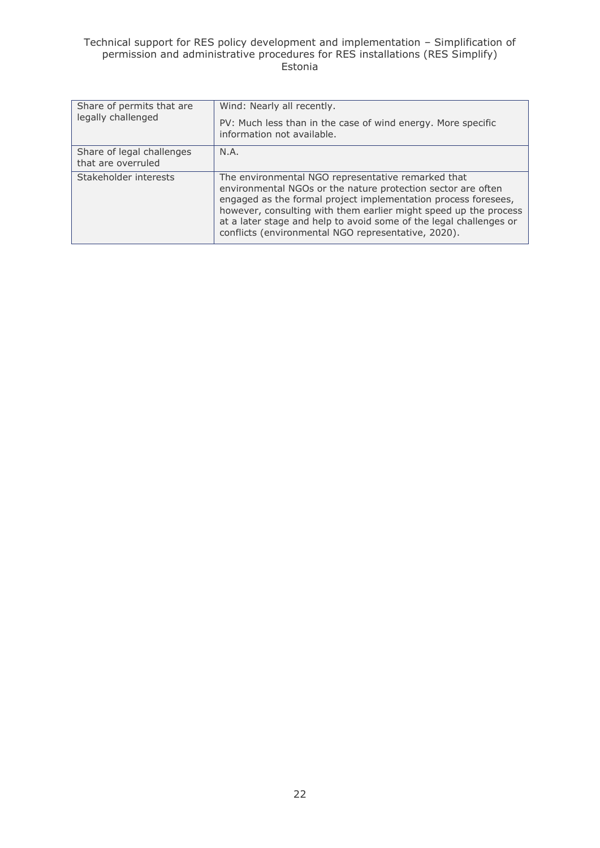#### Technical support for RES policy development and implementation – Simplification of permission and administrative procedures for RES installations (RES Simplify) Estonia

| Share of permits that are                       | Wind: Nearly all recently.                                                                                                                                                                                                                                                                                                                                                            |  |  |
|-------------------------------------------------|---------------------------------------------------------------------------------------------------------------------------------------------------------------------------------------------------------------------------------------------------------------------------------------------------------------------------------------------------------------------------------------|--|--|
| legally challenged                              | PV: Much less than in the case of wind energy. More specific<br>information not available.                                                                                                                                                                                                                                                                                            |  |  |
| Share of legal challenges<br>that are overruled | N.A.                                                                                                                                                                                                                                                                                                                                                                                  |  |  |
| Stakeholder interests                           | The environmental NGO representative remarked that<br>environmental NGOs or the nature protection sector are often<br>engaged as the formal project implementation process foresees,<br>however, consulting with them earlier might speed up the process<br>at a later stage and help to avoid some of the legal challenges or<br>conflicts (environmental NGO representative, 2020). |  |  |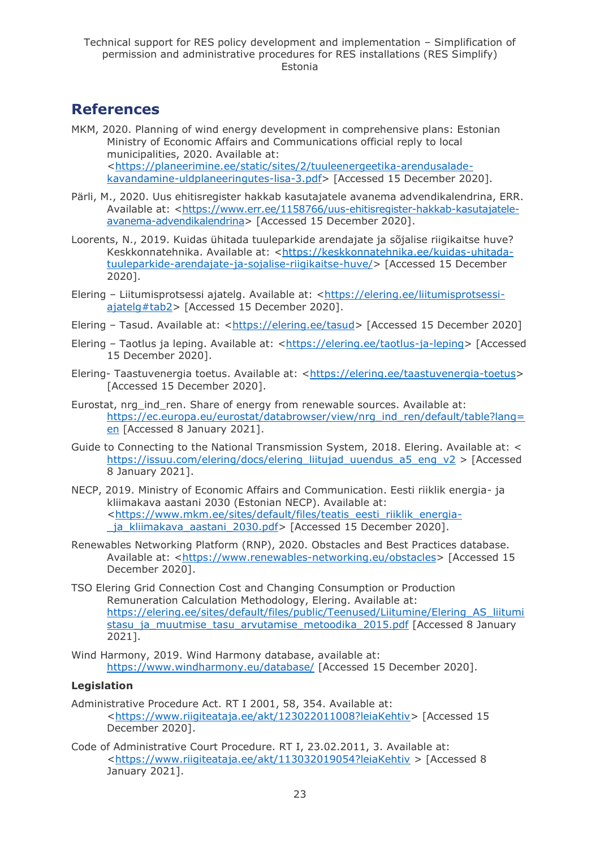## <span id="page-22-0"></span>**References**

- MKM, 2020. Planning of wind energy development in comprehensive plans: Estonian Ministry of Economic Affairs and Communications official reply to local municipalities, 2020. Available at: [<https://planeerimine.ee/static/sites/2/tuuleenergeetika-arendusalade](https://planeerimine.ee/static/sites/2/tuuleenergeetika-arendusalade-kavandamine-uldplaneeringutes-lisa-3.pdf)[kavandamine-uldplaneeringutes-lisa-3.pdf>](https://planeerimine.ee/static/sites/2/tuuleenergeetika-arendusalade-kavandamine-uldplaneeringutes-lisa-3.pdf) [Accessed 15 December 2020].
- Pärli, M., 2020. Uus ehitisregister hakkab kasutajatele avanema advendikalendrina, ERR. Available at: [<https://www.err.ee/1158766/uus-ehitisregister-hakkab-kasutajatele](https://www.err.ee/1158766/uus-ehitisregister-hakkab-kasutajatele-avanema-advendikalendrina)[avanema-advendikalendrina>](https://www.err.ee/1158766/uus-ehitisregister-hakkab-kasutajatele-avanema-advendikalendrina) [Accessed 15 December 2020].
- Loorents, N., 2019. Kuidas ühitada tuuleparkide arendajate ja sõjalise riigikaitse huve? Keskkonnatehnika. Available at: [<https://keskkonnatehnika.ee/kuidas-uhitada](https://keskkonnatehnika.ee/kuidas-uhitada-tuuleparkide-arendajate-ja-sojalise-riigikaitse-huve/)[tuuleparkide-arendajate-ja-sojalise-riigikaitse-huve/>](https://keskkonnatehnika.ee/kuidas-uhitada-tuuleparkide-arendajate-ja-sojalise-riigikaitse-huve/) [Accessed 15 December 2020].
- Elering Liitumisprotsessi ajatelg. Available at: [<https://elering.ee/liitumisprotsessi](https://elering.ee/liitumisprotsessi-ajatelg#tab2)[ajatelg#tab2>](https://elering.ee/liitumisprotsessi-ajatelg#tab2) [Accessed 15 December 2020].
- Elering Tasud. Available at: [<https://elering.ee/tasud>](https://elering.ee/tasud) [Accessed 15 December 2020]
- Elering Taotlus ja leping. Available at: [<https://elering.ee/taotlus-ja-leping>](https://elering.ee/taotlus-ja-leping) [Accessed] 15 December 2020].
- Elering- Taastuvenergia toetus. Available at: [<https://elering.ee/taastuvenergia-toetus>](https://elering.ee/taastuvenergia-toetus) [Accessed 15 December 2020].
- Eurostat, nrg\_ind\_ren. Share of energy from renewable sources. Available at: [https://ec.europa.eu/eurostat/databrowser/view/nrg\\_ind\\_ren/default/table?lang=](https://ec.europa.eu/eurostat/databrowser/view/nrg_ind_ren/default/table?lang=en) [en](https://ec.europa.eu/eurostat/databrowser/view/nrg_ind_ren/default/table?lang=en) [Accessed 8 January 2021].
- Guide to Connecting to the National Transmission System, 2018. Elering. Available at: < [https://issuu.com/elering/docs/elering\\_liitujad\\_uuendus\\_a5\\_eng\\_v2](https://issuu.com/elering/docs/elering_liitujad_uuendus_a5_eng_v2) > [Accessed 8 January 2021].
- NECP, 2019. Ministry of Economic Affairs and Communication. Eesti riiklik energia- ja kliimakava aastani 2030 (Estonian NECP). Available at: [<https://www.mkm.ee/sites/default/files/teatis\\_eesti\\_riiklik\\_energia-](https://www.mkm.ee/sites/default/files/teatis_eesti_riiklik_energia-_ja_kliimakava_aastani_2030.pdf) [\\_ja\\_kliimakava\\_aastani\\_2030.pdf>](https://www.mkm.ee/sites/default/files/teatis_eesti_riiklik_energia-_ja_kliimakava_aastani_2030.pdf) [Accessed 15 December 2020].
- Renewables Networking Platform (RNP), 2020. Obstacles and Best Practices database. Available at: [<https://www.renewables-networking.eu/obstacles>](https://www.renewables-networking.eu/obstacles) [Accessed 15 December 2020].
- TSO Elering Grid Connection Cost and Changing Consumption or Production Remuneration Calculation Methodology, Elering. Available at: [https://elering.ee/sites/default/files/public/Teenused/Liitumine/Elering\\_AS\\_liitumi](https://elering.ee/sites/default/files/public/Teenused/Liitumine/Elering_AS_liitumistasu_ja_muutmise_tasu_arvutamise_metoodika_2015.pdf) stasu ja muutmise tasu arvutamise metoodika 2015.pdf [Accessed 8 January 2021].
- Wind Harmony, 2019. Wind Harmony database, available at: <https://www.windharmony.eu/database/> [Accessed 15 December 2020].

## **Legislation**

- Administrative Procedure Act. RT I 2001, 58, 354. Available at: [<https://www.riigiteataja.ee/akt/123022011008?leiaKehtiv>](https://www.riigiteataja.ee/akt/123022011008?leiaKehtiv) [Accessed 15 December 2020].
- Code of Administrative Court Procedure. RT I, 23.02.2011, 3. Available at: [<https://www.riigiteataja.ee/akt/113032019054?leiaKehtiv](https://www.riigiteataja.ee/akt/113032019054?leiaKehtiv) > [Accessed 8 January 2021].